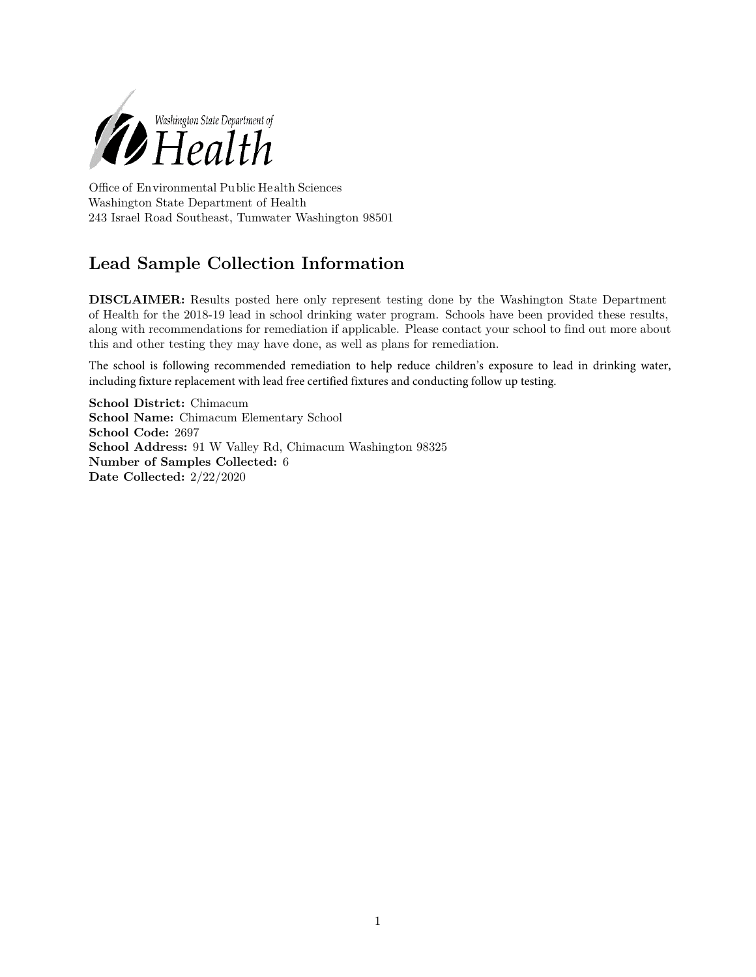

Office of Environmental Public Health Sciences Washington State Department of Health 243 Israel Road Southeast, Tumwater Washington 98501

## **Lead Sample Collection Information**

**DISCLAIMER:** Results posted here only represent testing done by the Washington State Department of Health for the 2018-19 lead in school drinking water program. Schools have been provided these results, along with recommendations for remediation if applicable. Please contact your school to find out more about this and other testing they may have done, as well as plans for remediation.

The school is following recommended remediation to help reduce children's exposure to lead in drinking water, including fixture replacement with lead free certified fixtures and conducting follow up testing.

**School District:** Chimacum **School Name:** Chimacum Elementary School **School Code:** 2697 **School Address:** 91 W Valley Rd, Chimacum Washington 98325 **Number of Samples Collected:** 6 **Date Collected:** 2/22/2020